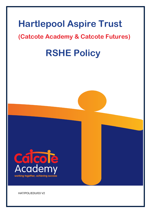# **Hartlepool Aspire Trust**

## **(Catcote Academy & Catcote Futures)**

# **RSHE Policy**

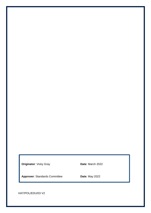**Originator**: Vicky Gray **Date**: March 2022

**Approver**: Standards Committee **Date**: May 2022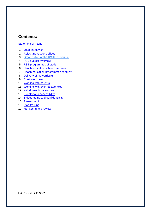## **Contents:**

#### [Statement of intent](#page-4-0)

- 1. [Legal framework](#page-5-0)
- 2. [Roles and responsibilities](#page-5-1)
- 3. [Organisation of the RSHE](#page-7-0) curriculum
- 4. [RSE subject overview](#page-8-0)
- 5. [RSE programmes of study](#page-8-1)
- 6. [Health education subject overview](#page-9-0)
- 7. [Health education programmes of study](#page-9-1)
- 8. [Delivery of the curriculum](#page-9-2)
- 9. [Curriculum links](#page-11-0)
- 10. [Working with parents](#page-11-1)
- 11. [Working with external agencies](#page-12-0)
- 12. Withdrawal [from lessons](#page-12-1)
- 13. [Equality and accessibility](#page-13-0)
- 14. [Safeguarding and confidentiality](#page-14-0)
- 15. [Assessment](#page-14-1)
- 16. [Staff training](#page-14-2)
- 17. [Monitoring and review](#page-15-0)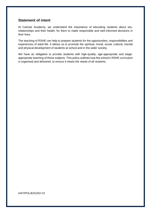## <span id="page-4-0"></span>**Statement of intent**

At Catcote Academy, we understand the importance of educating students about sex, relationships and their health, for them to make responsible and well-informed decisions in their lives.

The teaching of RSHE can help to prepare students for the opportunities, responsibilities and experiences of adult life. It allows us to promote the spiritual, moral, social, cultural, mental and physical development of students at school and in the wider society.

We have an obligation to provide students with high-quality, age-appropriate and stageappropriate teaching of these subjects. This policy outlines how the school's RSHE curriculum is organised and delivered, to ensure it meets the needs of all students.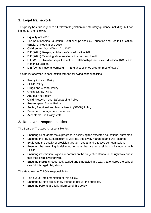## <span id="page-5-0"></span>**1. Legal framework**

This policy has due regard to all relevant legislation and statutory guidance including, but not limited to, the following:

- Equality Act 2010
- The Relationships Education, Relationships and Sex Education and Health Education (England) Regulations 2019
- Children and Social Work Act 2017
- DfE (2021) 'Keeping children safe in education 2021'
- DfE (2021) 'Teaching about relationships, sex and health'
- DfE (2019) 'Relationships Education, Relationships and Sex Education (RSE) and Health Education'
- DfE (2015) 'National curriculum in England: science programmes of study'

This policy operates in conjunction with the following school policies:

- Ready to Learn Policy
- SEND Policy
- Drugs and Alcohol Policy
- Online Safety Policy
- Anti-bullying Policy
- Child Protection and Safeguarding Policy
- Peer-on-peer Abuse Policy
- Social, Emotional and Mental Health (SEMH) Policy
- Document management procedure
- Acceptable use Policy staff

## <span id="page-5-1"></span>**2. Roles and responsibilities**

The Board of Trustees is responsible for:

- Ensuring all students make progress in achieving the expected educational outcomes.
- Ensuring the RSHE curriculum is well-led, effectively managed and well-planned.
- Evaluating the quality of provision through regular and effective self-evaluation.
- Ensuring that teaching is delivered in ways that are accessible to all students with SEND.
- Ensuring information is given to parents on the subject content and the right to request that their child is withdrawn.
- Ensuring RSHE is resourced, staffed and timetabled in a way that ensures the school can fulfil its legal obligations.

The Headteacher/CEO is responsible for:

- The overall implementation of this policy.
- Ensuring all staff are suitably trained to deliver the subjects.
- Ensuring parents are fully informed of this policy.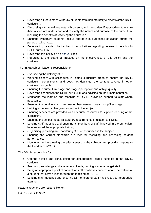- Reviewing all requests to withdraw students from non-statutory elements of the RSHE curriculum.
- Discussing withdrawal requests with parents, and the student if appropriate, to ensure their wishes are understood and to clarify the nature and purpose of the curriculum, including the benefits of receiving the education.
- Ensuring withdrawn students receive appropriate, purposeful education during the period of withdrawal.
- Encouraging parents to be involved in consultations regarding reviews of the school's RSHE curriculum.
- Reviewing this policy on an annual basis.
- Reporting to the Board of Trustees on the effectiveness of this policy and the curriculum.

The RSHE subject leader is responsible for:

- Overseeing the delivery of RSHE.
- Working closely with colleagues in related curriculum areas to ensure the RSHE curriculum compliments, and does not duplicate, the content covered in other curriculum subjects.
- Ensuring the curriculum is age and stage-appropriate and of high quality.
- Reviewing changes to the RSHE curriculum and advising on their implementation.
- Monitoring the learning and teaching of RSHE, providing support to staff where necessary.
- Ensuring the continuity and progression between each year group/ key stage.
- Helping to develop colleagues' expertise in the subject.
- Ensuring teachers are provided with adequate resources to support teaching of the curriculum.
- Ensuring the school meets its statutory requirements in relation to RSHE.
- Leading staff meetings and ensuring all members of staff involved in the curriculum have received the appropriate training.
- Organising, providing and monitoring CPD opportunities in the subject.
- Ensuring the correct standards are met for recording and assessing student performance.
- Monitoring and evaluating the effectiveness of the subjects and providing reports to the Headteacher/CEO.

The DSL is responsible for:

- Offering advice and consultation for safeguarding-related subjects in the RSHE curriculum.
- Promoting knowledge and awareness of safeguarding issues amongst staff.
- Being an appropriate point of contact for staff who have concerns about the welfare of a student that have arisen through the teaching of RSHE.
- Leading staff meetings and ensuring all members of staff have received appropriate training.

Pastoral teachers are responsible for: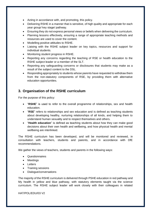- Acting in accordance with, and promoting, this policy.
- Delivering RSHE in a manner that is sensitive, of high quality and appropriate for each year group/ key stage/ pathway.
- Ensuring they do not express personal views or beliefs when delivering the curriculum.
- Planning lessons effectively, ensuring a range of appropriate teaching methods and resources are used to cover the content.
- Modelling positive attitudes to RSHE.
- Liaising with the RSHE subject leader on key topics, resources and support for individual students.
- Monitoring student progress in RSHE.
- Reporting any concerns regarding the teaching of RSE or health education to the RSHE subject leader or a member of the SLT.
- Reporting any safeguarding concerns or disclosures that students may make as a result of the subject content to the DSL.
- Responding appropriately to students whose parents have requested to withdraw them from the non-statutory components of RSE, by providing them with alternative education opportunities.

## <span id="page-7-0"></span>**3. Organisation of the RSHE curriculum**

For the purpose of this policy:

- "**RSHE**" is used to refer to the overall programme of relationships, sex and health education.
- "**RSE**" refers to relationships and sex education and is defined as teaching students about developing healthy, nurturing relationships of all kinds, and helping them to understand human sexuality and to respect themselves and others.
- "**Health education**" is defined as teaching students about how they can make good decisions about their own health and wellbeing, and how physical health and mental wellbeing are interlinked.

The RSHE curriculum has been developed, and will be monitored and reviewed, in consultation with teachers, students and parents, and in accordance with DfE recommendations.

We gather the views of teachers, students and parents in the following ways:

- Questionnaires
- Meetings
- Letters
- Training sessions
- Dialogue/conversations

The majority of the RSHE curriculum is delivered through PSHE education in red pathway and My health in yellow and blue pathway, with statutory elements taught via the science curriculum. The RSHE subject leader will work closely with their colleagues in related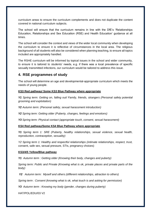curriculum areas to ensure the curriculum complements and does not duplicate the content covered in national curriculum subjects.

The school will ensure that the curriculum remains in line with the DfE's 'Relationships Education, Relationships and Sex Education (RSE) and Health Education' guidance at all times.

The school will consider the context and views of the wider local community when developing the curriculum to ensure it is reflective of circumstances in the local area. The religious background of all students will also be considered when planning teaching, to ensure all topics included are appropriately handled.

The RSHE curriculum will be informed by topical issues in the school and wider community, to ensure it is tailored to students' needs, e.g. if there was a local prevalence of specific sexually transmitted infections, our curriculum would be tailored to address this issue.

## <span id="page-8-0"></span>**4. RSE programmes of study**

<span id="page-8-1"></span>The school will determine an age and developmental-appropriate curriculum which meets the needs of young people.

#### **KS3 Red pathway/ Some KS3 Blue Pathway where appropriate**

*Y1 Spring term: Getting on, falling out/ Family, friends, strangers (Personal safety potential grooming and exploitation)*

*Y2 Autumn term: (Personal safety, sexual harassment introduction)*

*Y2 Spring term: Getting older (Puberty, changes, feelings and emotions)*

*Y3 Spring term: Physical contact (appropriate touch, consent, sexual harassment)*

#### **KS4 Red pathway/Some KS4 Blue Pathway where appropriate**

*Y1 Spring term 1: SRE (Puberty, healthy relationships, sexual violence, sexual health, reproduction, contraception, sexuality)*

*Y2 Spring term 1: Healthy and respectful relationships (intimate relationships, respect, trust,*  consent, safe sex, sexual pressure, STIs, pregnancy choices)

#### **KS3/4/5 Yellow/Blue pathway**

*Y1 Autumn term : Getting older (Knowing their body, changes and puberty)*

*Spring term: Public and Private (Knowing what is ok, private places and private parts of the body)*

*Y2 Autumn term: Myself and others (different relationships, attraction to others)*

*Spring term : Consent (knowing what is ok, what touch is and asking for permission)*

*Y3 Autumn term : Knowing my body (gender, changes during puberty)*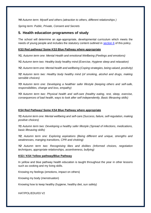*Y4 Autumn term: Myself and others (attraction to others, different relationships )*

*Spring term: Public, Private, Consent and Secrets* 

### <span id="page-9-1"></span><span id="page-9-0"></span>**5. Health education programmes of study**

The school will determine an age-appropriate, developmental curriculum which meets the needs of young people and includes the statutory content outlined in [section 6](#page-9-0) of this policy.

#### **KS3 Red pathway/ Some KS3 Blue Pathway where appropriate**

*Y1, Autumn term one: Mental Health and emotional Wellbeing (Feelings and emotions)*

*Y1 Autumn term two: Healthy body healthy mind (Exercise, Hygiene sleep and relaxation)*

*Y2, Autumn term one: Mental health and wellbeing (Coping strategies, being valued, positivity)*

*Y2 Autumn term two: Healthy body healthy mind (of smoking, alcohol and drugs, making sensible choices)*

*Y3 Autumn term one: Developing a healthier safer lifestyle (keeping others and self-safe, responsibilities, change and loss, empathy)*

*Y3 Autumn term two: Physical health and self-care (healthy eating, rest, sleep, exercise, consequences of bad health, ways to look after self independently, Basic lifesaving skills)*

#### **KS4 Red Pathway/ Some KS4 Blue Pathway where appropriate**

*Y1 Autumn term one: Mental wellbeing and self-care (Success, failure, self-regulation, making positive choices)*

*Y1 Autumn term two: Developing a healthy safer lifestyle (Spread of infections, medications, basic lifesaving skills)*

*Y2, Autumn term one: Exploring aspirations (Being different and unique, strengths and weaknesses, manging transitions, CPR and choking)*

*Y2 Autumn term two: Recognising likes and dislikes (Informed choices, negotiation techniques, appropriate relationships, assertiveness, bullying)*

#### <span id="page-9-2"></span>**KS3 / KS4 Yellow pathway/Blue Pathway**

In yellow and blue pathway health education is taught throughout the year in other lessons such as cooking and my living skills.

Knowing my feelings (emotions, impact on others)

Knowing my body (menstruation)

Knowing how to keep healthy (hygiene, healthy diet, sun safety)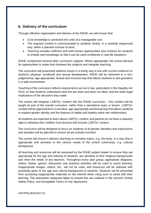## **6. Delivery of the curriculum**

Through effective organisation and delivery of the RSHE, we will ensure that:

- Core knowledge is sectioned into units of a manageable size.
- The required content is communicated to students clearly, in a carefully sequenced way, within a planned scheme of work.
- Teaching includes sufficient and well-chosen opportunities and contexts for students to embed new knowledge so that it can be used confidently in real-life situations.

RSHE complement several other curriculum subjects. Where appropriate, the school will look for opportunities to make links between the subjects and integrate teaching.

The curriculum will proactively address issues in a timely way in line with current evidence on student's physical, emotional and sexual development. RSHE will be delivered in a nonjudgemental, age-appropriate, factual and inclusive way that allows students to ask questions in a safe environment.

Teaching of the curriculum reflects requirements set out in law, particularly in the Equality Act 2010, so that students understand what the law does and does not allow, and the wider legal implications of the decisions they make.

The school will integrate LGBTQ+ content into the RSHE curriculum – this content will be taught as part of the overall curriculum, rather than a standalone topic or lesson. LGBTQ+ content will be approached in a sensitive, age-appropriate and factual way that allows students to explore gender identity and the features of stable and healthy same-sex relationships.

All students are expected to learn about LGBTQ+ content, and parents do not have a statutory right to withdraw their children from lessons that include LGBTQ+ content.

The curriculum will be designed to focus on students of all gender identities and expressions and activities will be planned to ensure all are actively involved.

The school will ensure it delivers teaching on sensitive topics, e.g. the body, in a way that is appropriate and sensitive to the various needs of the school community, e.g. cultural background.

All teaching and resources will be assessed by the RSHE subject leader to ensure they are appropriate for the age and maturity of students, are sensitive to their religious backgrounds and meet the needs of any learners. Throughout every year group, appropriate diagrams, videos, books, games, discussion and practical activities will be used to assist learning. Inappropriate images, videos, etc., will not be used, and resources will be selected with sensitivity given to the age and cultural background of students. Students will be prevented from accessing inappropriate materials on the internet when using such to assist with their learning. The prevention measures taken to ensure this are outlined in the school's Online Safety Policy, and Acceptable Terms of Use Agreement.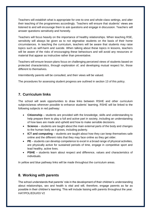Teachers will establish what is appropriate for one-to-one and whole-class settings, and alter their teaching of the programmes accordingly. Teachers will ensure that students' views are listened to and will encourage them to ask questions and engage in discussion. Teachers will answer questions sensitively and honestly.

Teachers will focus heavily on the importance of healthy relationships. When teaching RSE, sensitivity will always be given as to not stigmatise students on the basis of their home circumstances. In teaching the curriculum, teachers will be aware that students may raise topics such as self-harm and suicide. When talking about these topics in lessons, teachers will be aware of the risks of encouraging these behaviours and will avoid any resources or material that appear as instructive rather than preventative.

Teachers will ensure lesson plans focus on challenging perceived views of students based on protected characteristics, through exploration of, and developing mutual respect for, those different to themselves.

Intermittently parents will be consulted, and their views will be valued.

The procedures for assessing student progress are outlined in section 13 of this policy.

## <span id="page-11-0"></span>**7. Curriculum links**

The school will seek opportunities to draw links between RSHE and other curriculum subjects/areas wherever possible to enhance students' learning. RSHE will be linked to the following subjects in red pathway:

- **Citizenship** students are provided with the knowledge, skills and understanding to help prepare them to play a full and active part in society, including an understanding of how laws are made and upheld and how to make sensible decisions.
- **Science**  students are taught about the main external parts of the body and changes to the human body as it grows, including puberty.
- **ICT and computing** students are taught about how they can keep themselves safe online and the different risks that they may face online as they get older.
- **PE** students can develop competence to excel in a broad range of physical activities, are physically active for sustained periods of time, engage in competitive sport and lead healthy, active lives.
- **PSHE** students learn about respect and difference, values and characteristics of individuals.

In yellow and blue pathway links will be made throughout the curriculum areas.

## <span id="page-11-1"></span>**8. Working with parents**

HAT/POL/EDU/03 V2 The school understands that parents' role in the development of their children's understanding about relationships, sex and health is vital and will, therefore, engage parents as far as possible in their children's learning. This will include liaising with parents throughout the year.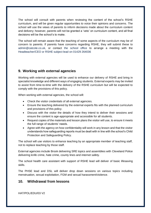The school will consult with parents when reviewing the content of the school's RSHE curriculum, and will be given regular opportunities to voice their opinions and concerns. The school will use the views of parents to inform decisions made about the curriculum content and delivery; however, parents will not be granted a 'veto' on curriculum content, and all final decisions will be the school's to make.

The school will remain aware that the teaching of some aspects of the curriculum may be of concern to parents. If parents have concerns regarding RSHE, they will submit these to admin@catcote.co.uk, or contact the school office to arrange a meeting with the Headteacher/CEO or RSHE subject lead on 01429 264036

## <span id="page-12-0"></span>**9. Working with external agencies**

Working with external agencies will be used to enhance our delivery of RSHE and bring in specialist knowledge and different ways of engaging students. External experts may be invited to assist from time-to-time with the delivery of the RSHE curriculum but will be expected to comply with the provisions of this policy.

When working with external agencies, the school will:

- Check the visitor credentials of all external agencies.
- Ensure the teaching delivered by the external experts fits with the planned curriculum and provisions of this policy.
- Discuss with the visitor the details of how they intend to deliver their sessions and ensure the content is age-appropriate and accessible for all students.
- Request copies of the materials and lesson plans the visitor will use, to ensure it meets the full range of students' needs.
- Agree with the agency on how confidentiality will work in any lesson and that the visitor understands how safeguarding reports must be dealt with in line with the school's Child Protection and Safeguarding Policy.

The school will use visitors to enhance teaching by an appropriate member of teaching staff, not to replace teaching by those staff.

External agencies include Brook delivering SRE topics and assemblies with Cleveland Police delivering knife crime, hate crime, county lines and internet safety.

The school health care assistant with support of RSHE lead will deliver of basic lifesaving skills.

The PHSE lead and DSL will deliver drop down sessions on various topics including menstruation, sexual exploitation, FGM and sexual harassment/violence.

### <span id="page-12-1"></span>**10. Withdrawal from lessons**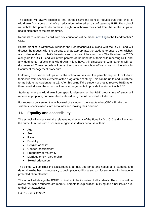The school will always recognise that parents have the right to request that their child is withdrawn from some or all of sex education delivered as part of statutory RSE. The school will uphold that parents do not have a right to withdraw their child from the relationships or health elements of the programmes.

Requests to withdraw a child from sex education will be made in writing to the Headteacher / CEO.

Before granting a withdrawal request, the Headteacher/CEO along with the RSHE lead will discuss the request with the parents and, as appropriate, the student, to ensure their wishes are understood and to clarify the nature and purpose of the curriculum. The Headteacher/CEO alongside the RSHE lead will inform parents of the benefits of their child receiving RSE and any detrimental effects that withdrawal might have. All discussions with parents will be documented. These records will be kept securely in the school office in line with the school's Document management procedure.

Following discussions with parents, the school will respect the parents' request to withdraw their child from specific elements of the programme of study. This can be up to and until three terms before the student turns 16. After this point, if the student wishes to receive RSE rather than be withdrawn, the school will make arrangements to provide the student with RSE.

Students who are withdrawn from specific elements of the RSE programme of study will receive appropriate, purposeful education during the full period of withdrawal.

For requests concerning the withdrawal of a student, the Headteacher/CEO will take the students' specific needs into account when making their decision.

## <span id="page-13-0"></span>**11. Equality and accessibility**

The school will comply with the relevant requirements of the Equality Act 2010 and will ensure the curriculum does not discriminate against students because of their:

- Age
- Sex
- Race
- Disability
- Religion or belief
- Gender reassignment
- Pregnancy or maternity
- Marriage or civil partnership
- Sexual orientation

The school will consider the backgrounds, gender, age range and needs of its students and determine whether it is necessary to put in place additional support for students with the above protected characteristics.

The school will design the RSHE curriculum to be inclusive of all students. The school will be aware that some students are more vulnerable to exploitation, bullying and other issues due to their characteristics.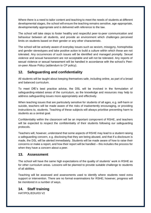Where there is a need to tailor content and teaching to meet the needs of students at different developmental stages, the school will ensure the teaching remains sensitive, age-appropriate, developmentally appropriate and is delivered with reference to the law.

The school will take steps to foster healthy and respectful peer-to-peer communication and behaviour between all students, and provide an environment which challenges perceived limits on students based on their gender or any other characteristic.

The school will be actively aware of everyday issues such as sexism, misogyny, homophobia and gender stereotypes and take positive action to build a culture within which these are not tolerated. Any occurrences of such issues will be identified and managed promptly. Sexual violence and sexual harassment are not acceptable and will not be tolerated. Any reports of sexual violence or sexual harassment will be handled in accordance with the school's Peeron-peer Abuse Policy (addendum to CP policy).

## <span id="page-14-0"></span>**12. Safeguarding and confidentiality**

All students will be taught about keeping themselves safe, including online, as part of a broad and balanced curriculum.

To meet DfE's best practice advice, the DSL will be involved in the formulation of safeguarding-related areas of the curriculum, as the knowledge and resources may help to address safeguarding issues more appropriately and effectively.

When teaching issues that are particularly sensitive for students of all ages, e.g. self-harm or suicide, teachers will be made aware of the risks of inadvertently encouraging, or providing instructions to, students. Teaching of these subjects will always prioritise preventing harm to students as a central goal.

Confidentiality within the classroom will be an important component of RSHE, and teachers will be expected to respect the confidentiality of their students following our safeguarding protocols.

Teachers will, however, understand that some aspects of RSHE may lead to a student raising a safeguarding concern, e.g. disclosing that they are being abused, and that if a disclosure is made, the DSL will be alerted immediately. Students will be made aware of how to raise their concerns or make a report, and how their report will be handled – this includes the process for when they have a concern about a peer.

## <span id="page-14-1"></span>**13. Assessment**

The school will have the same high expectations of the quality of students' work in RSHE as for other curriculum areas. Lessons will be planned to provide suitable challenge to students of all abilities.

Teaching will be assessed and assessments used to identify where students need extra support or intervention. There are no formal examinations for RSHE; however, progress will be monitored in a number of ways.

## <span id="page-14-2"></span>**14. Staff training**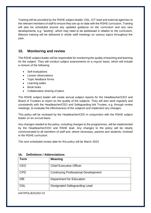Training will be provided by the RSHE subject leader, DSL, ICT lead and external agencies to the relevant members of staff to ensure they are up-to-date with the RSHE curriculum. Training will also be scheduled around any updated guidance on the curriculum and any new developments, e.g. "sexting", which may need to be addressed in relation to the curriculum. Bitesize training will be delivered in whole staff meetings on various topics throughout the year.

## <span id="page-15-0"></span>**15. Monitoring and review**

The RSHE subject leader will be responsible for monitoring the quality of teaching and learning for the subject. They will conduct subject assessments on a regular basis, which will include a mixture of the following:

- Self-evaluations
- Lesson observations
- Topic feedback forms
- Learning walks
- Book looks
- Collaborative sharing of plans

The RSHE subject leader will create annual subject reports for the Headteacher/CEO and Board of Trustees to report on the quality of the subjects. They will also work regularly and consistently with the Headteacher/CEO and Safeguarding link Trustee, e.g. through review meetings, to evaluate the effectiveness of the subjects and implement any changes.

This policy will be reviewed by the Headteacher/CEO in conjunction with the RSHE subject leader on an annual basis.

Any changes needed to the policy, including changes to the programmes, will be implemented by the Headteacher/CEO and RSHE lead. Any changes to the policy will be clearly communicated to all members of staff and, where necessary, parents and students, involved in the RSHE curriculum.

The next scheduled review date for this policy will be March 2023

| <b>Term</b> | <b>Meaning</b>                             |
|-------------|--------------------------------------------|
| <b>CEO</b>  | <b>Chief Executive Officer</b>             |
| <b>CPD</b>  | <b>Continuing Professional Development</b> |
| <b>DfE</b>  | Department for Education                   |
| <b>DSL</b>  | Designated Safeguarding Lead               |

#### **16. Definitions / Abbreviations**